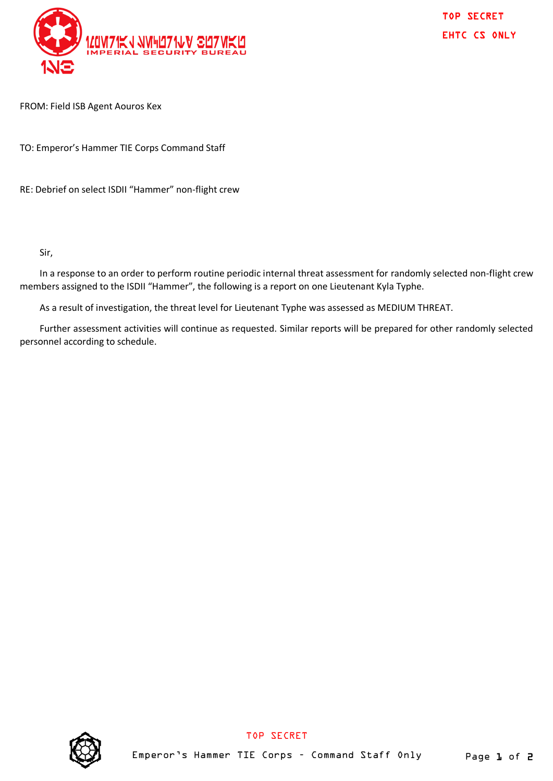

TOP SECRET EHTC CS ONLY

FROM: Field ISB Agent Aouros Kex

TO: Emperor's Hammer TIE Corps Command Staff

RE: Debrief on select ISDII "Hammer" non-flight crew

Sir,

In a response to an order to perform routine periodic internal threat assessment for randomly selected non-flight crew members assigned to the ISDII "Hammer", the following is a report on one Lieutenant Kyla Typhe.

As a result of investigation, the threat level for Lieutenant Typhe was assessed as MEDIUM THREAT.

Further assessment activities will continue as requested. Similar reports will be prepared for other randomly selected personnel according to schedule.